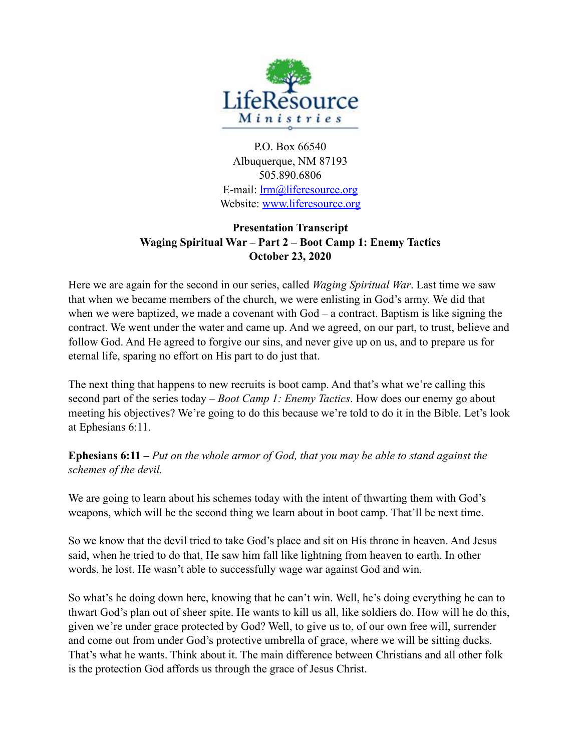

P.O. Box 66540 Albuquerque, NM 87193 505.890.6806 E-mail: [lrm@liferesource.org](mailto:lrm@liferesource.org) Website: [www.liferesource.org](http://www.liferesource.org)

## **Presentation Transcript Waging Spiritual War – Part 2 – Boot Camp 1: Enemy Tactics October 23, 2020**

Here we are again for the second in our series, called *Waging Spiritual War*. Last time we saw that when we became members of the church, we were enlisting in God's army. We did that when we were baptized, we made a covenant with God – a contract. Baptism is like signing the contract. We went under the water and came up. And we agreed, on our part, to trust, believe and follow God. And He agreed to forgive our sins, and never give up on us, and to prepare us for eternal life, sparing no effort on His part to do just that.

The next thing that happens to new recruits is boot camp. And that's what we're calling this second part of the series today – *Boot Camp 1: Enemy Tactics*. How does our enemy go about meeting his objectives? We're going to do this because we're told to do it in the Bible. Let's look at Ephesians 6:11.

**Ephesians 6:11 –** *Put on the whole armor of God, that you may be able to stand against the schemes of the devil.* 

We are going to learn about his schemes today with the intent of thwarting them with God's weapons, which will be the second thing we learn about in boot camp. That'll be next time.

So we know that the devil tried to take God's place and sit on His throne in heaven. And Jesus said, when he tried to do that, He saw him fall like lightning from heaven to earth. In other words, he lost. He wasn't able to successfully wage war against God and win.

So what's he doing down here, knowing that he can't win. Well, he's doing everything he can to thwart God's plan out of sheer spite. He wants to kill us all, like soldiers do. How will he do this, given we're under grace protected by God? Well, to give us to, of our own free will, surrender and come out from under God's protective umbrella of grace, where we will be sitting ducks. That's what he wants. Think about it. The main difference between Christians and all other folk is the protection God affords us through the grace of Jesus Christ.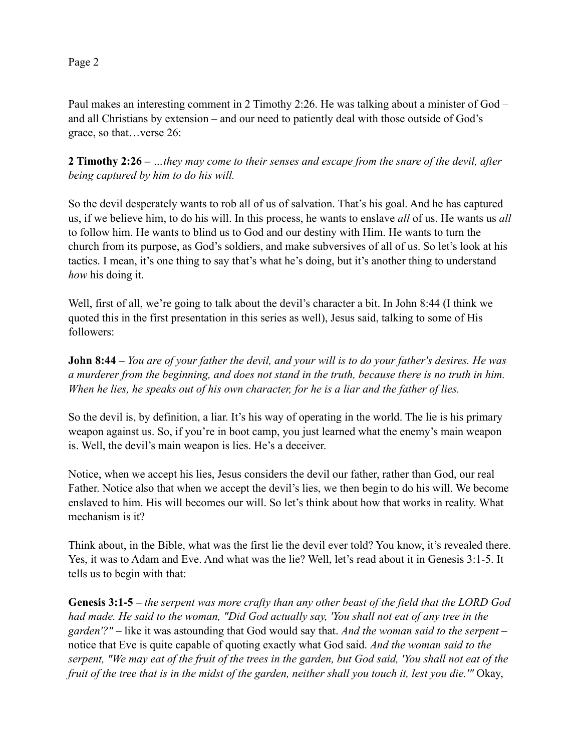Paul makes an interesting comment in 2 Timothy 2:26. He was talking about a minister of God – and all Christians by extension – and our need to patiently deal with those outside of God's grace, so that…verse 26:

**2 Timothy 2:26 –** *…they may come to their senses and escape from the snare of the devil, after being captured by him to do his will.* 

So the devil desperately wants to rob all of us of salvation. That's his goal. And he has captured us, if we believe him, to do his will. In this process, he wants to enslave *all* of us. He wants us *all* to follow him. He wants to blind us to God and our destiny with Him. He wants to turn the church from its purpose, as God's soldiers, and make subversives of all of us. So let's look at his tactics. I mean, it's one thing to say that's what he's doing, but it's another thing to understand *how* his doing it.

Well, first of all, we're going to talk about the devil's character a bit. In John 8:44 (I think we quoted this in the first presentation in this series as well), Jesus said, talking to some of His followers:

**John 8:44 –** *You are of your father the devil, and your will is to do your father's desires. He was a murderer from the beginning, and does not stand in the truth, because there is no truth in him. When he lies, he speaks out of his own character, for he is a liar and the father of lies.*

So the devil is, by definition, a liar. It's his way of operating in the world. The lie is his primary weapon against us. So, if you're in boot camp, you just learned what the enemy's main weapon is. Well, the devil's main weapon is lies. He's a deceiver.

Notice, when we accept his lies, Jesus considers the devil our father, rather than God, our real Father. Notice also that when we accept the devil's lies, we then begin to do his will. We become enslaved to him. His will becomes our will. So let's think about how that works in reality. What mechanism is it?

Think about, in the Bible, what was the first lie the devil ever told? You know, it's revealed there. Yes, it was to Adam and Eve. And what was the lie? Well, let's read about it in Genesis 3:1-5. It tells us to begin with that:

**Genesis 3:1-5 –** *the serpent was more crafty than any other beast of the field that the LORD God had made. He said to the woman, "Did God actually say, 'You shall not eat of any tree in the garden'?" –* like it was astounding that God would say that. *And the woman said to the serpent –*  notice that Eve is quite capable of quoting exactly what God said. *And the woman said to the serpent, "We may eat of the fruit of the trees in the garden, but God said, 'You shall not eat of the fruit of the tree that is in the midst of the garden, neither shall you touch it, lest you die.'"* Okay,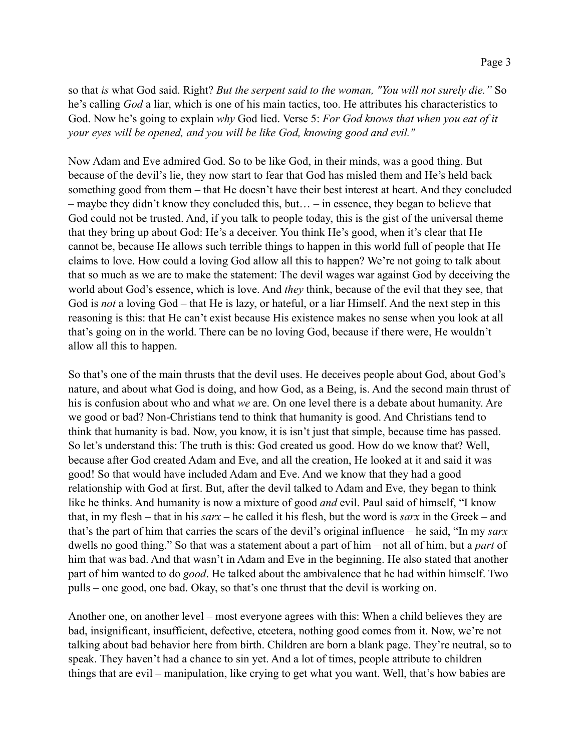so that *is* what God said. Right? *But the serpent said to the woman, "You will not surely die."* So he's calling *God* a liar, which is one of his main tactics, too. He attributes his characteristics to God. Now he's going to explain *why* God lied. Verse 5: *For God knows that when you eat of it your eyes will be opened, and you will be like God, knowing good and evil."*

Now Adam and Eve admired God. So to be like God, in their minds, was a good thing. But because of the devil's lie, they now start to fear that God has misled them and He's held back something good from them – that He doesn't have their best interest at heart. And they concluded – maybe they didn't know they concluded this, but… – in essence, they began to believe that God could not be trusted. And, if you talk to people today, this is the gist of the universal theme that they bring up about God: He's a deceiver. You think He's good, when it's clear that He cannot be, because He allows such terrible things to happen in this world full of people that He claims to love. How could a loving God allow all this to happen? We're not going to talk about that so much as we are to make the statement: The devil wages war against God by deceiving the world about God's essence, which is love. And *they* think, because of the evil that they see, that God is *not* a loving God – that He is lazy, or hateful, or a liar Himself. And the next step in this reasoning is this: that He can't exist because His existence makes no sense when you look at all that's going on in the world. There can be no loving God, because if there were, He wouldn't allow all this to happen.

So that's one of the main thrusts that the devil uses. He deceives people about God, about God's nature, and about what God is doing, and how God, as a Being, is. And the second main thrust of his is confusion about who and what *we* are. On one level there is a debate about humanity. Are we good or bad? Non-Christians tend to think that humanity is good. And Christians tend to think that humanity is bad. Now, you know, it is isn't just that simple, because time has passed. So let's understand this: The truth is this: God created us good. How do we know that? Well, because after God created Adam and Eve, and all the creation, He looked at it and said it was good! So that would have included Adam and Eve. And we know that they had a good relationship with God at first. But, after the devil talked to Adam and Eve, they began to think like he thinks. And humanity is now a mixture of good *and* evil. Paul said of himself, "I know that, in my flesh – that in his *sarx* – he called it his flesh, but the word is *sarx* in the Greek – and that's the part of him that carries the scars of the devil's original influence – he said, "In my *sarx* dwells no good thing." So that was a statement about a part of him – not all of him, but a *part* of him that was bad. And that wasn't in Adam and Eve in the beginning. He also stated that another part of him wanted to do *good*. He talked about the ambivalence that he had within himself. Two pulls – one good, one bad. Okay, so that's one thrust that the devil is working on.

Another one, on another level – most everyone agrees with this: When a child believes they are bad, insignificant, insufficient, defective, etcetera, nothing good comes from it. Now, we're not talking about bad behavior here from birth. Children are born a blank page. They're neutral, so to speak. They haven't had a chance to sin yet. And a lot of times, people attribute to children things that are evil – manipulation, like crying to get what you want. Well, that's how babies are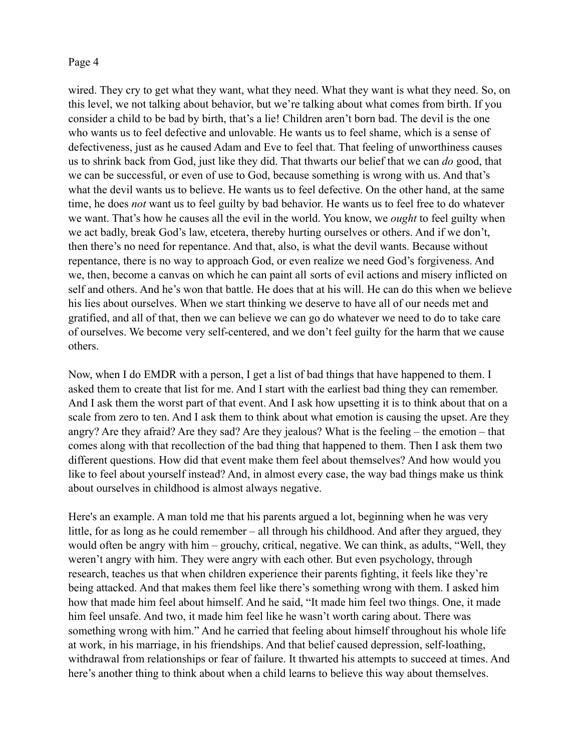wired. They cry to get what they want, what they need. What they want is what they need. So, on this level, we not talking about behavior, but we're talking about what comes from birth. If you consider a child to be bad by birth, that's a lie! Children aren't born bad. The devil is the one who wants us to feel defective and unlovable. He wants us to feel shame, which is a sense of defectiveness, just as he caused Adam and Eve to feel that. That feeling of unworthiness causes us to shrink back from God, just like they did. That thwarts our belief that we can *do* good, that we can be successful, or even of use to God, because something is wrong with us. And that's what the devil wants us to believe. He wants us to feel defective. On the other hand, at the same time, he does *not* want us to feel guilty by bad behavior. He wants us to feel free to do whatever we want. That's how he causes all the evil in the world. You know, we *ought* to feel guilty when we act badly, break God's law, etcetera, thereby hurting ourselves or others. And if we don't, then there's no need for repentance. And that, also, is what the devil wants. Because without repentance, there is no way to approach God, or even realize we need God's forgiveness. And we, then, become a canvas on which he can paint all sorts of evil actions and misery inflicted on self and others. And he's won that battle. He does that at his will. He can do this when we believe his lies about ourselves. When we start thinking we deserve to have all of our needs met and gratified, and all of that, then we can believe we can go do whatever we need to do to take care of ourselves. We become very self-centered, and we don't feel guilty for the harm that we cause others.

Now, when I do EMDR with a person, I get a list of bad things that have happened to them. I asked them to create that list for me. And I start with the earliest bad thing they can remember. And I ask them the worst part of that event. And I ask how upsetting it is to think about that on a scale from zero to ten. And I ask them to think about what emotion is causing the upset. Are they angry? Are they afraid? Are they sad? Are they jealous? What is the feeling – the emotion – that comes along with that recollection of the bad thing that happened to them. Then I ask them two different questions. How did that event make them feel about themselves? And how would you like to feel about yourself instead? And, in almost every case, the way bad things make us think about ourselves in childhood is almost always negative.

Here's an example. A man told me that his parents argued a lot, beginning when he was very little, for as long as he could remember – all through his childhood. And after they argued, they would often be angry with him – grouchy, critical, negative. We can think, as adults, "Well, they weren't angry with him. They were angry with each other. But even psychology, through research, teaches us that when children experience their parents fighting, it feels like they're being attacked. And that makes them feel like there's something wrong with them. I asked him how that made him feel about himself. And he said, "It made him feel two things. One, it made him feel unsafe. And two, it made him feel like he wasn't worth caring about. There was something wrong with him." And he carried that feeling about himself throughout his whole life at work, in his marriage, in his friendships. And that belief caused depression, self-loathing, withdrawal from relationships or fear of failure. It thwarted his attempts to succeed at times. And here's another thing to think about when a child learns to believe this way about themselves.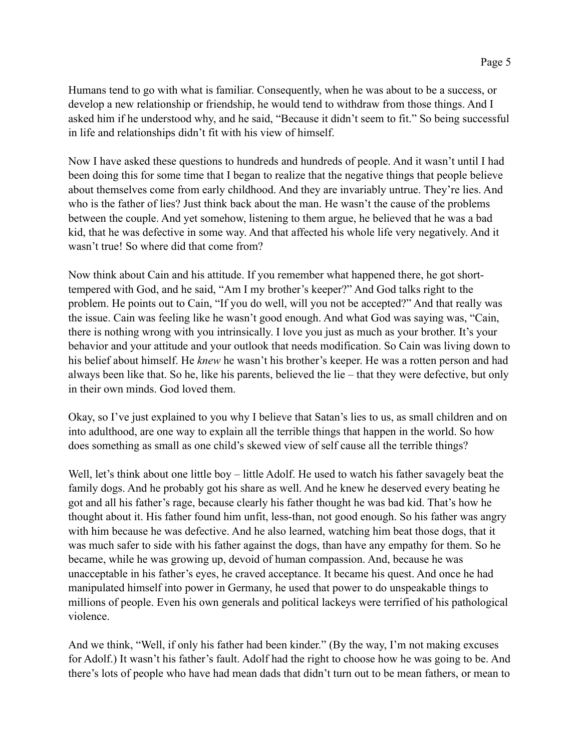Humans tend to go with what is familiar. Consequently, when he was about to be a success, or develop a new relationship or friendship, he would tend to withdraw from those things. And I asked him if he understood why, and he said, "Because it didn't seem to fit." So being successful in life and relationships didn't fit with his view of himself.

Now I have asked these questions to hundreds and hundreds of people. And it wasn't until I had been doing this for some time that I began to realize that the negative things that people believe about themselves come from early childhood. And they are invariably untrue. They're lies. And who is the father of lies? Just think back about the man. He wasn't the cause of the problems between the couple. And yet somehow, listening to them argue, he believed that he was a bad kid, that he was defective in some way. And that affected his whole life very negatively. And it wasn't true! So where did that come from?

Now think about Cain and his attitude. If you remember what happened there, he got shorttempered with God, and he said, "Am I my brother's keeper?" And God talks right to the problem. He points out to Cain, "If you do well, will you not be accepted?" And that really was the issue. Cain was feeling like he wasn't good enough. And what God was saying was, "Cain, there is nothing wrong with you intrinsically. I love you just as much as your brother. It's your behavior and your attitude and your outlook that needs modification. So Cain was living down to his belief about himself. He *knew* he wasn't his brother's keeper. He was a rotten person and had always been like that. So he, like his parents, believed the lie – that they were defective, but only in their own minds. God loved them.

Okay, so I've just explained to you why I believe that Satan's lies to us, as small children and on into adulthood, are one way to explain all the terrible things that happen in the world. So how does something as small as one child's skewed view of self cause all the terrible things?

Well, let's think about one little boy – little Adolf. He used to watch his father savagely beat the family dogs. And he probably got his share as well. And he knew he deserved every beating he got and all his father's rage, because clearly his father thought he was bad kid. That's how he thought about it. His father found him unfit, less-than, not good enough. So his father was angry with him because he was defective. And he also learned, watching him beat those dogs, that it was much safer to side with his father against the dogs, than have any empathy for them. So he became, while he was growing up, devoid of human compassion. And, because he was unacceptable in his father's eyes, he craved acceptance. It became his quest. And once he had manipulated himself into power in Germany, he used that power to do unspeakable things to millions of people. Even his own generals and political lackeys were terrified of his pathological violence.

And we think, "Well, if only his father had been kinder." (By the way, I'm not making excuses for Adolf.) It wasn't his father's fault. Adolf had the right to choose how he was going to be. And there's lots of people who have had mean dads that didn't turn out to be mean fathers, or mean to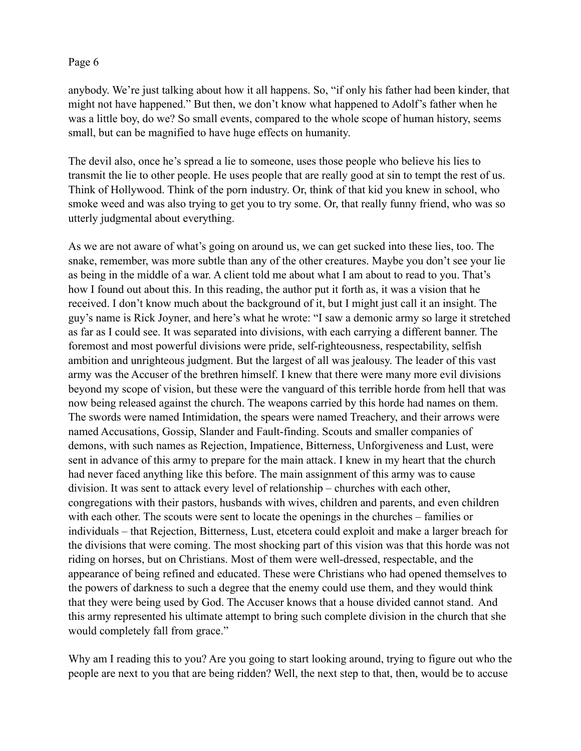anybody. We're just talking about how it all happens. So, "if only his father had been kinder, that might not have happened." But then, we don't know what happened to Adolf's father when he was a little boy, do we? So small events, compared to the whole scope of human history, seems small, but can be magnified to have huge effects on humanity.

The devil also, once he's spread a lie to someone, uses those people who believe his lies to transmit the lie to other people. He uses people that are really good at sin to tempt the rest of us. Think of Hollywood. Think of the porn industry. Or, think of that kid you knew in school, who smoke weed and was also trying to get you to try some. Or, that really funny friend, who was so utterly judgmental about everything.

As we are not aware of what's going on around us, we can get sucked into these lies, too. The snake, remember, was more subtle than any of the other creatures. Maybe you don't see your lie as being in the middle of a war. A client told me about what I am about to read to you. That's how I found out about this. In this reading, the author put it forth as, it was a vision that he received. I don't know much about the background of it, but I might just call it an insight. The guy's name is Rick Joyner, and here's what he wrote: "I saw a demonic army so large it stretched as far as I could see. It was separated into divisions, with each carrying a different banner. The foremost and most powerful divisions were pride, self-righteousness, respectability, selfish ambition and unrighteous judgment. But the largest of all was jealousy. The leader of this vast army was the Accuser of the brethren himself. I knew that there were many more evil divisions beyond my scope of vision, but these were the vanguard of this terrible horde from hell that was now being released against the church. The weapons carried by this horde had names on them. The swords were named Intimidation, the spears were named Treachery, and their arrows were named Accusations, Gossip, Slander and Fault-finding. Scouts and smaller companies of demons, with such names as Rejection, Impatience, Bitterness, Unforgiveness and Lust, were sent in advance of this army to prepare for the main attack. I knew in my heart that the church had never faced anything like this before. The main assignment of this army was to cause division. It was sent to attack every level of relationship – churches with each other, congregations with their pastors, husbands with wives, children and parents, and even children with each other. The scouts were sent to locate the openings in the churches – families or individuals – that Rejection, Bitterness, Lust, etcetera could exploit and make a larger breach for the divisions that were coming. The most shocking part of this vision was that this horde was not riding on horses, but on Christians. Most of them were well-dressed, respectable, and the appearance of being refined and educated. These were Christians who had opened themselves to the powers of darkness to such a degree that the enemy could use them, and they would think that they were being used by God. The Accuser knows that a house divided cannot stand. And this army represented his ultimate attempt to bring such complete division in the church that she would completely fall from grace."

Why am I reading this to you? Are you going to start looking around, trying to figure out who the people are next to you that are being ridden? Well, the next step to that, then, would be to accuse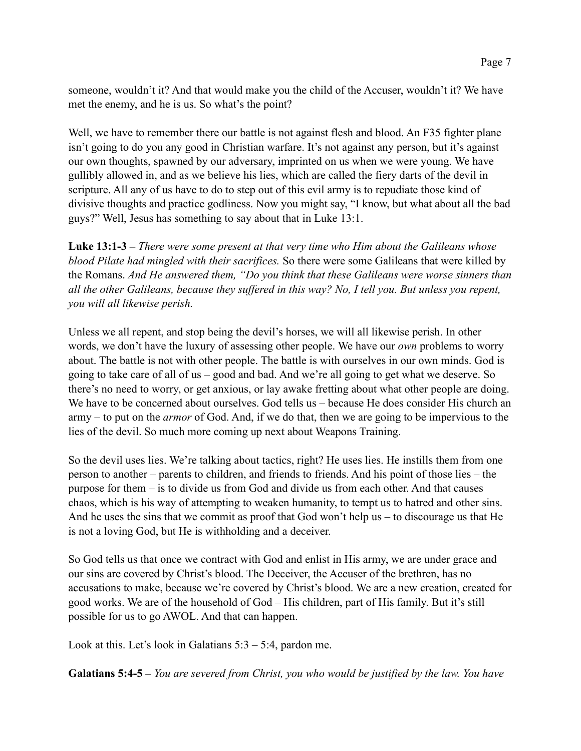someone, wouldn't it? And that would make you the child of the Accuser, wouldn't it? We have met the enemy, and he is us. So what's the point?

Well, we have to remember there our battle is not against flesh and blood. An F35 fighter plane isn't going to do you any good in Christian warfare. It's not against any person, but it's against our own thoughts, spawned by our adversary, imprinted on us when we were young. We have gullibly allowed in, and as we believe his lies, which are called the fiery darts of the devil in scripture. All any of us have to do to step out of this evil army is to repudiate those kind of divisive thoughts and practice godliness. Now you might say, "I know, but what about all the bad guys?" Well, Jesus has something to say about that in Luke 13:1.

**Luke 13:1-3 –** *There were some present at that very time who Him about the Galileans whose blood Pilate had mingled with their sacrifices.* So there were some Galileans that were killed by the Romans. *And He answered them, "Do you think that these Galileans were worse sinners than all the other Galileans, because they suffered in this way? No, I tell you. But unless you repent, you will all likewise perish.* 

Unless we all repent, and stop being the devil's horses, we will all likewise perish. In other words, we don't have the luxury of assessing other people. We have our *own* problems to worry about. The battle is not with other people. The battle is with ourselves in our own minds. God is going to take care of all of us – good and bad. And we're all going to get what we deserve. So there's no need to worry, or get anxious, or lay awake fretting about what other people are doing. We have to be concerned about ourselves. God tells us – because He does consider His church an army – to put on the *armor* of God. And, if we do that, then we are going to be impervious to the lies of the devil. So much more coming up next about Weapons Training.

So the devil uses lies. We're talking about tactics, right? He uses lies. He instills them from one person to another – parents to children, and friends to friends. And his point of those lies – the purpose for them – is to divide us from God and divide us from each other. And that causes chaos, which is his way of attempting to weaken humanity, to tempt us to hatred and other sins. And he uses the sins that we commit as proof that God won't help us – to discourage us that He is not a loving God, but He is withholding and a deceiver.

So God tells us that once we contract with God and enlist in His army, we are under grace and our sins are covered by Christ's blood. The Deceiver, the Accuser of the brethren, has no accusations to make, because we're covered by Christ's blood. We are a new creation, created for good works. We are of the household of God – His children, part of His family. But it's still possible for us to go AWOL. And that can happen.

Look at this. Let's look in Galatians  $5:3 - 5:4$ , pardon me.

**Galatians 5:4-5 –** *You are severed from Christ, you who would be justified by the law. You have*